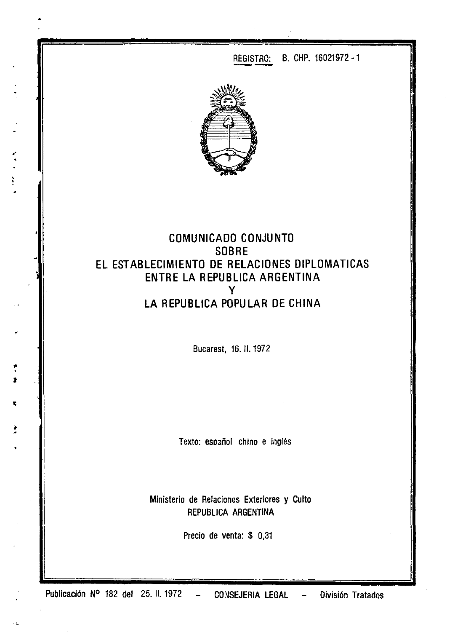

 $\ddot{\cdot}$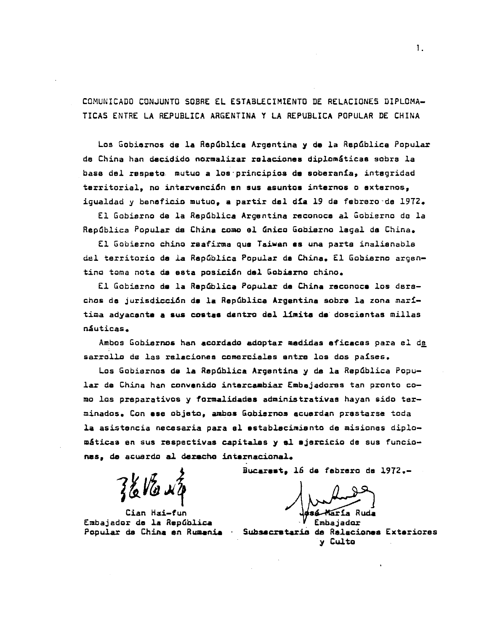COMUNICADO CONJUNTO SOBRE El ESTABLECIMIENTO DE RELACIONES DIPLOMA-TICAS ENTRE LA REPUBlICA ARGENTINA y LA REPUBLICA POPULAR DE CHINA

Los Gobiernos de la República Argentina y de la República Popular da China han decidido normalizar rolacionea diplomáticas sobrs la basa del respeto. mutuo a los'principios da soberanía, integridad territorial, no intarvención en sus asuntos internos o externos, igualdad y beneficio mutuo, a partir dal dia 19 da febrero-de 1972.

El Gobierno de la República Argentina reconoce al Gobierno de la RepOblica Popular de China come al anico Gobierno lagal da China.

El Gobierno chino reafirma que Taiwan ss una parta inalienabla del territorio de la República Popular de China. El Gobierno argentino toma nota de asta posici6n del Gobierno chino.

*El* Gobierno de la Repablica Popular da China raconocs los derechos da jurisdicci6n ds la RepGblica Argentina sobre la zona marítima adyacente a aua costas dentro del límita da doscisntas millas náuticas.

Ambos Gobiernos han acordado adoptar medidas eficacas para el de sarrollo de las relaciones comerciales entre los dos países.

Los Gobiernos de la República Argentina y de la República Popular da China han convenido intercambiar Embajadoras tan pronto como los preparativos y formalidades administrativas hayan sido terminados. Con ese objeto, ambos Gobiernos acuerdan prestarse toda la asistencia necesaria para el establecimiento de misiones diplomáticas en sus respectiVas capitales <sup>y</sup> al ejercicio de sus funcionas, de acuerdo al deracho internacional.

Cian Hai-fun Embajador de la República Popular da China en Rumania

Bucarest, 16 da febrero de 1912.-

/ Warden Ruda

Subsacratario de Ralacionas Exteriores y Culto

1.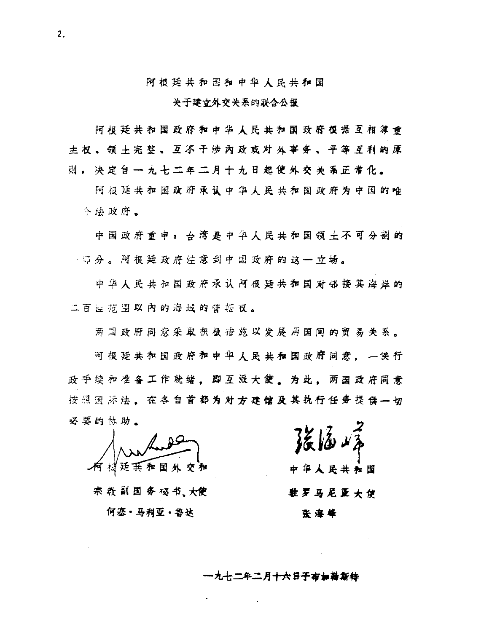阿根廷共和国和中华人民共和国

## 关于建立外交关系的联合公报

阿根廷共和国政府和中华人民共和国政府根据互相建重 **主权、领 + 宗 整、 互不干涉 内 政 或 对 处 事 务 、 平 等 互 利 的 原** 则。决定自一九十二年二月十九日起使外交关系正常化。

阿祖廷共和国政府承认中华人民共和国政府为中国的唯 令法政府。

中国政府重申:台湾是中华人民共和国领土不可分剖的 第 分。阿根廷政府注意到中国政府的这一立场。

中华人民共和国政府承认阿根廷共和国对邻接其海岸的 二百里茄围以内的海域的管菇权。

两国政府同意采取积极谐施以发展两国闻的贸易关系。

阿根廷共和国政府和中华人民共和国政府同意。 一俟行 政手续和准备工作就绪,即互派大使。为此,两国政府同意 按照国际法。在各自首都为对方建馆及其执行任务提供一切 必要的协助。

宗教副国务极书、大使 何塞·马利亚·鲁达

中华人民共和国 驻罗马尼亚大伊 张海峰

一九七二年二月十六日子布加勒斯特